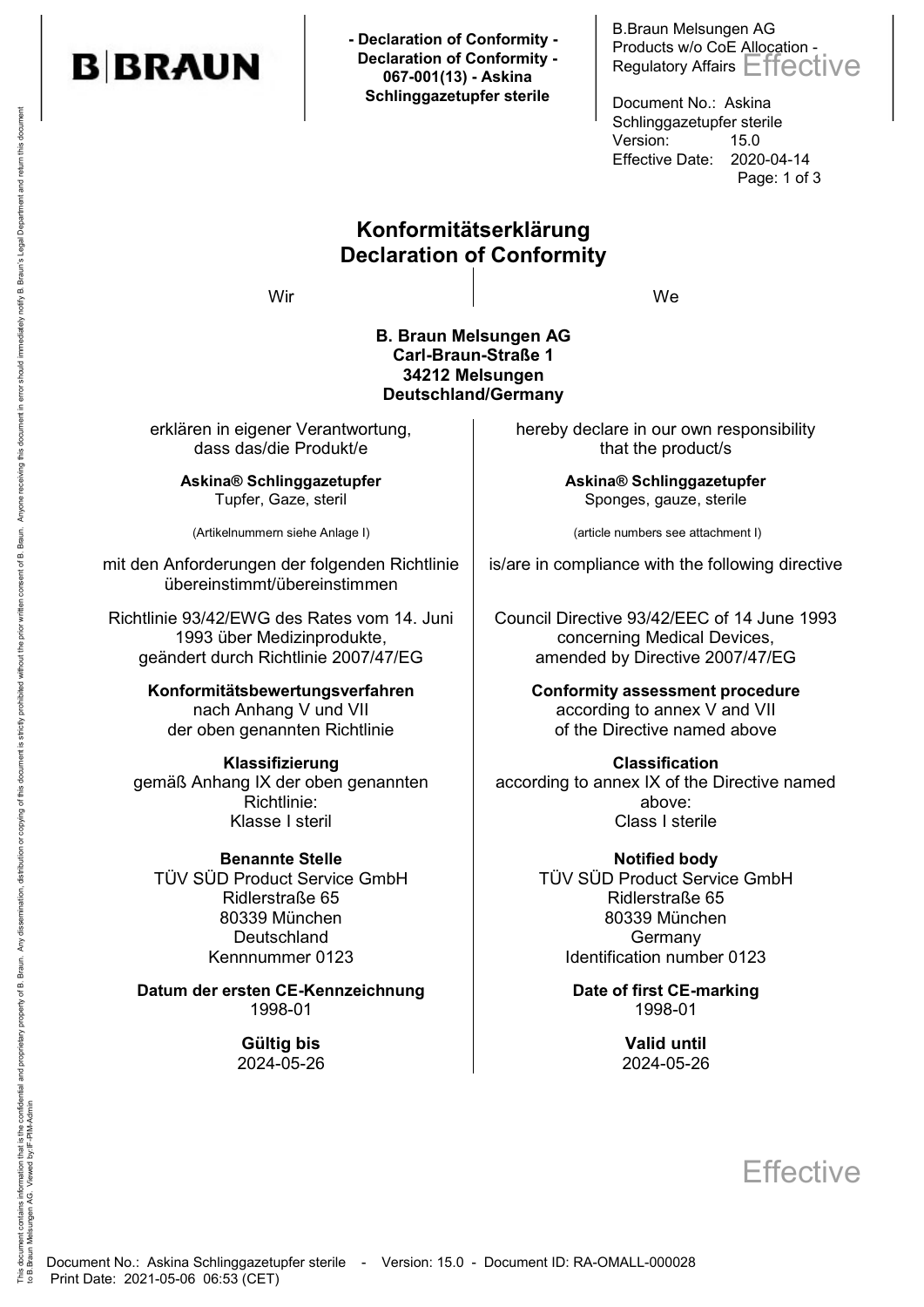

 **- Declaration of Conformity - Declaration of Conformity - 067-001(13) - Askina Schlinggazetupfer sterile**

B.Braun Melsungen AG Products w/o CoE Allocation - Regulatory Affairs Effective

Document No.: Askina Schlinggazetupfer sterile Version: 15.0 Effective Date: 2020-04-14 Page: 1 of 3

### Konformitätserklärung Declaration of Conformity

Wir We

#### B. Braun Melsungen AG Carl-Braun-Straße 1 34212 Melsungen Deutschland/Germany

erklären in eigener Verantwortung, dass das/die Produkt/e

> Askina® Schlinggazetupfer Tupfer, Gaze, steril

(Artikelnummern siehe Anlage I)

mit den Anforderungen der folgenden Richtlinie übereinstimmt/übereinstimmen

Richtlinie 93/42/EWG des Rates vom 14. Juni 1993 über Medizinprodukte, geändert durch Richtlinie 2007/47/EG

> Konformitätsbewertungsverfahren nach Anhang V und VII der oben genannten Richtlinie

Klassifizierung gemäß Anhang IX der oben genannten Richtlinie:

TÜV SÜD Product Service GmbH Ridlerstraße 65 80339 München **Deutschland** Kennnummer 0123

Datum der ersten CE-Kennzeichnung and Date of first CE-marking 1998-01 1998-01

> Gültig bis **Gültig bis Valid until** 2024-05-26 2024-05-26

hereby declare in our own responsibility that the product/s

> Askina® Schlinggazetupfer Sponges, gauze, sterile

(article numbers see attachment I)

is/are in compliance with the following directive

Council Directive 93/42/EEC of 14 June 1993 concerning Medical Devices, amended by Directive 2007/47/EG

> Conformity assessment procedure according to annex V and VII of the Directive named above

Classification according to annex IX of the Directive named above: Klasse I steril **Klasse I sterile** 

Benannte Stelle Notified body TÜV SÜD Product Service GmbH Ridlerstraße 65 80339 München Germany Identification number 0123

# **Effective**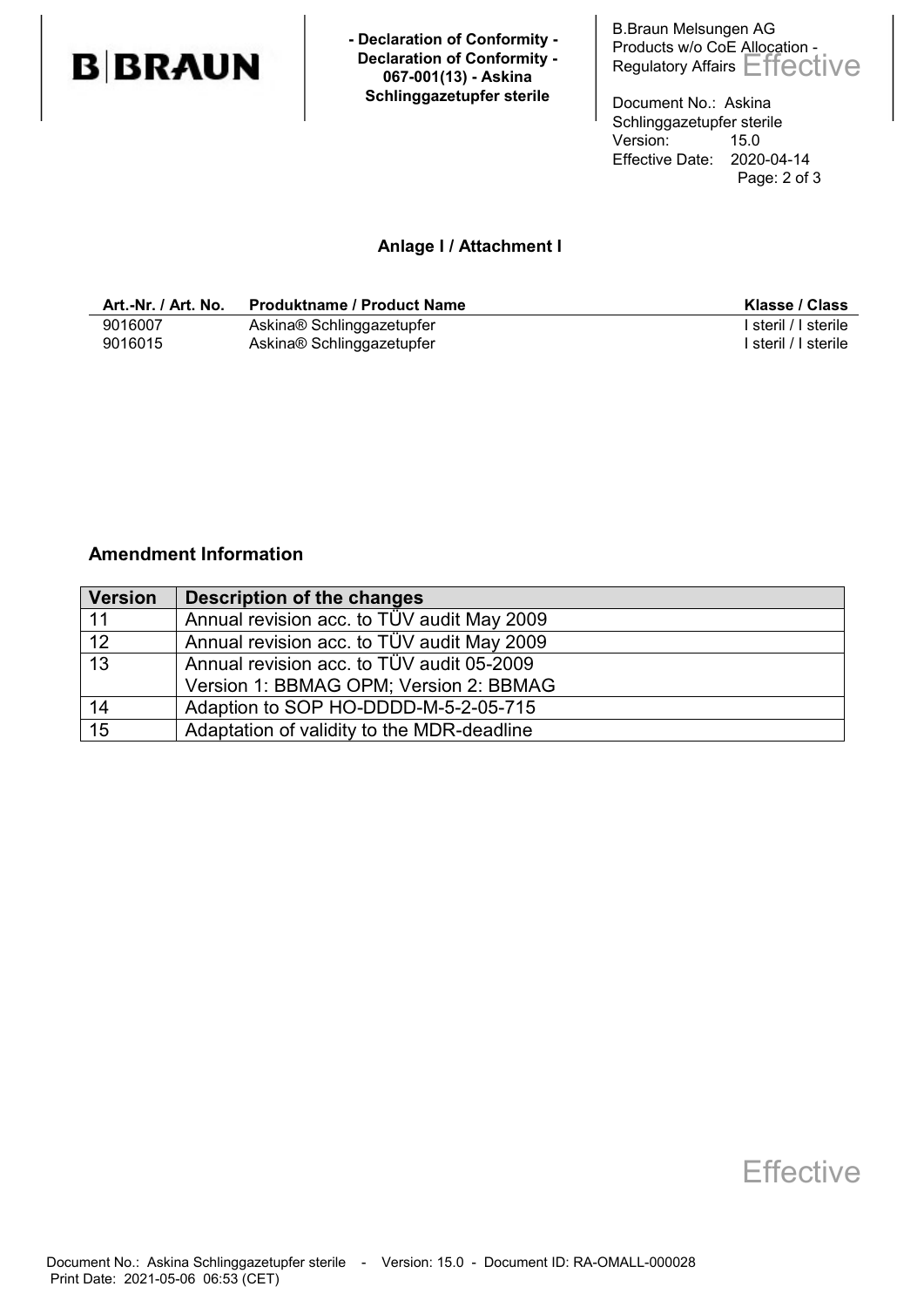

 **- Declaration of Conformity - Declaration of Conformity - 067-001(13) - Askina Schlinggazetupfer sterile**

B.Braun Melsungen AG Products w/o CoE Allocation - Regulatory Affairs Effective

Document No.: Askina Schlinggazetupfer sterile<br>Version: 15.0 Version: Effective Date: 2020-04-14 Page: 2 of 3

#### Anlage I / Attachment I

| Art.-Nr. / Art. No. | <b>Produktname / Product Name</b> | Klasse / Class       |
|---------------------|-----------------------------------|----------------------|
| 9016007             | Askina® Schlinggazetupfer         | l steril / I sterile |
| 9016015             | Askina® Schlinggazetupfer         | steril / I sterile   |

#### Amendment Information

| <b>Version</b>  | <b>Description of the changes</b>          |
|-----------------|--------------------------------------------|
| -11             | Annual revision acc. to TÜV audit May 2009 |
| 12              | Annual revision acc. to TÜV audit May 2009 |
| $\overline{13}$ | Annual revision acc. to TÜV audit 05-2009  |
|                 | Version 1: BBMAG OPM; Version 2: BBMAG     |
| 14              | Adaption to SOP HO-DDDD-M-5-2-05-715       |
| 15              | Adaptation of validity to the MDR-deadline |

### **Effective**